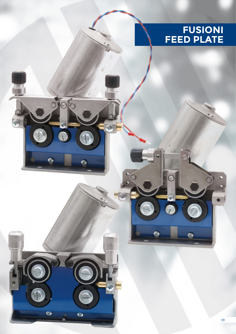## **FUSIONI FEED PLATE**

 $\circ$ 

G

 $\left( \frac{1}{2} \right)$ 

 $\mathbb{R}^n$ 

 $\odot$ 

 $\widehat{\phi}$ 

49

 $\overline{\circ}$ 

G)

档

 $\circ$ 

٩

G

 $\bullet$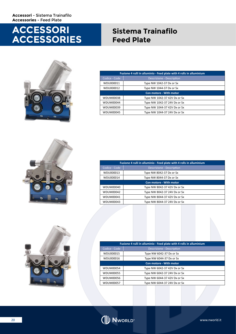## **ACCESSORI ACCESSORIES**

## **Sistema Trainafilo Feed Plate**



| Fusione 4 rulli in alluminio - Feed plate with 4 rolls in alluminium |                                  |  |
|----------------------------------------------------------------------|----------------------------------|--|
| Codice - Code                                                        | <b>Descrizione - Description</b> |  |
| WDU000011                                                            | Type NW 1042-37 Dx or Sx         |  |
| WDU000012                                                            | Type NW 1044-37 Dx or Sx         |  |
| <b>Con motore - With motor</b>                                       |                                  |  |
| WDUM00038                                                            | Type NW 1042-37 42V Dx or Sx     |  |
| WDUM00044                                                            | Type NW 1042-37 24V Dx or Sx     |  |
| WDUM00039                                                            | Type NW 1044-37 42V Dx or Sx     |  |
| WDUM00045                                                            | Type NW 1044-37 24V Dx or Sx     |  |



| Fusione 4 rulli in alluminio - Feed plate with 4 rolls in alluminium |                              |  |  |
|----------------------------------------------------------------------|------------------------------|--|--|
| Codice - Code                                                        | Descrizione - Description    |  |  |
| WDU000013                                                            | Type NW 8042-37 Dx or Sx     |  |  |
| WDU000014                                                            | Type NW 8044-37 Dx or Sx     |  |  |
| <b>Con motore - With motor</b>                                       |                              |  |  |
| WDUM00040                                                            | Type NW 8042-37 42V Dx or Sx |  |  |
| WDUM00042                                                            | Type NW 8042-37 24V Dx or Sx |  |  |
| WDUM00041                                                            | Type NW 8044-37 42V Dx or Sx |  |  |
| WDUM00043                                                            | Type NW 8044-37 24V Dx or Sx |  |  |



| Fusione 4 rulli in alluminio - Feed plate with 4 rolls in alluminium |                              |  |
|----------------------------------------------------------------------|------------------------------|--|
| Codice - Code                                                        | Descrizione - Description    |  |
| WDU000015                                                            | Type NW 6042-37 Dx or Sx     |  |
| WDU000016                                                            | Type NW 6044-37 Dx or Sx     |  |
| Con motore - With motor                                              |                              |  |
| WDUM00054                                                            | Type NW 6042-37 42V Dx or Sx |  |
| WDUM00055                                                            | Type NW 6042-37 24V Dx or Sx |  |
| WDUM00056                                                            | Type NW 6044-37 42V Dx or Sx |  |
| WDUM00057                                                            | Type NW 6044-37 24V Dx or Sx |  |